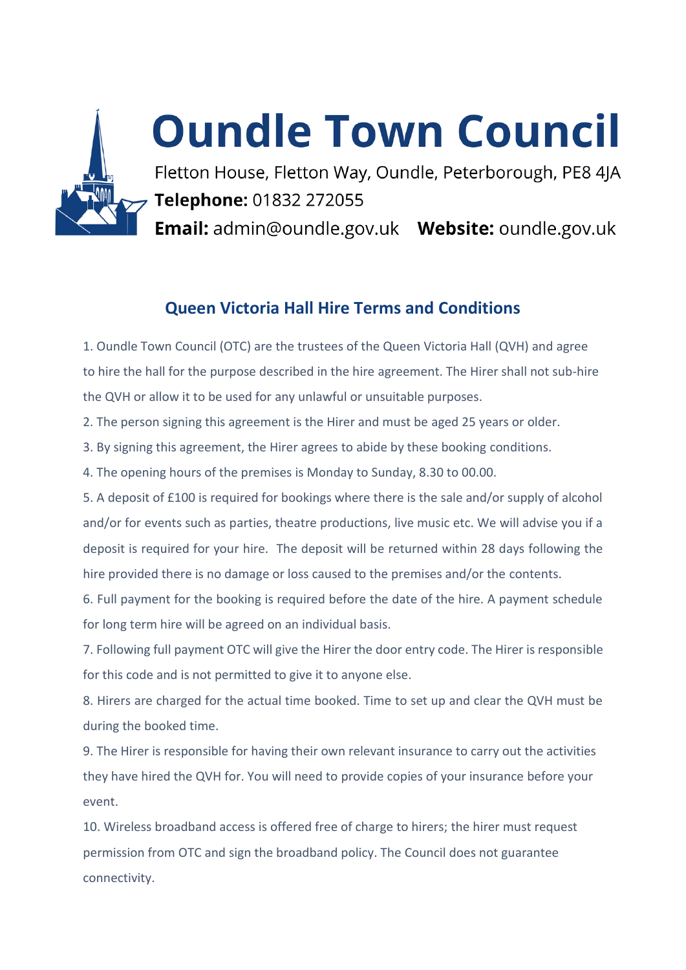

# **Oundle Town Council**

Fletton House, Fletton Way, Oundle, Peterborough, PE8 4JA Telephone: 01832 272055

Email: admin@oundle.gov.uk Website: oundle.gov.uk

# **Queen Victoria Hall Hire Terms and Conditions**

1. Oundle Town Council (OTC) are the trustees of the Queen Victoria Hall (QVH) and agree to hire the hall for the purpose described in the hire agreement. The Hirer shall not sub-hire the QVH or allow it to be used for any unlawful or unsuitable purposes.

2. The person signing this agreement is the Hirer and must be aged 25 years or older.

3. By signing this agreement, the Hirer agrees to abide by these booking conditions.

4. The opening hours of the premises is Monday to Sunday, 8.30 to 00.00.

5. A deposit of £100 is required for bookings where there is the sale and/or supply of alcohol and/or for events such as parties, theatre productions, live music etc. We will advise you if a deposit is required for your hire. The deposit will be returned within 28 days following the hire provided there is no damage or loss caused to the premises and/or the contents.

6. Full payment for the booking is required before the date of the hire. A payment schedule for long term hire will be agreed on an individual basis.

7. Following full payment OTC will give the Hirer the door entry code. The Hirer is responsible for this code and is not permitted to give it to anyone else.

8. Hirers are charged for the actual time booked. Time to set up and clear the QVH must be during the booked time.

9. The Hirer is responsible for having their own relevant insurance to carry out the activities they have hired the QVH for. You will need to provide copies of your insurance before your event.

10. Wireless broadband access is offered free of charge to hirers; the hirer must request permission from OTC and sign the broadband policy. The Council does not guarantee connectivity.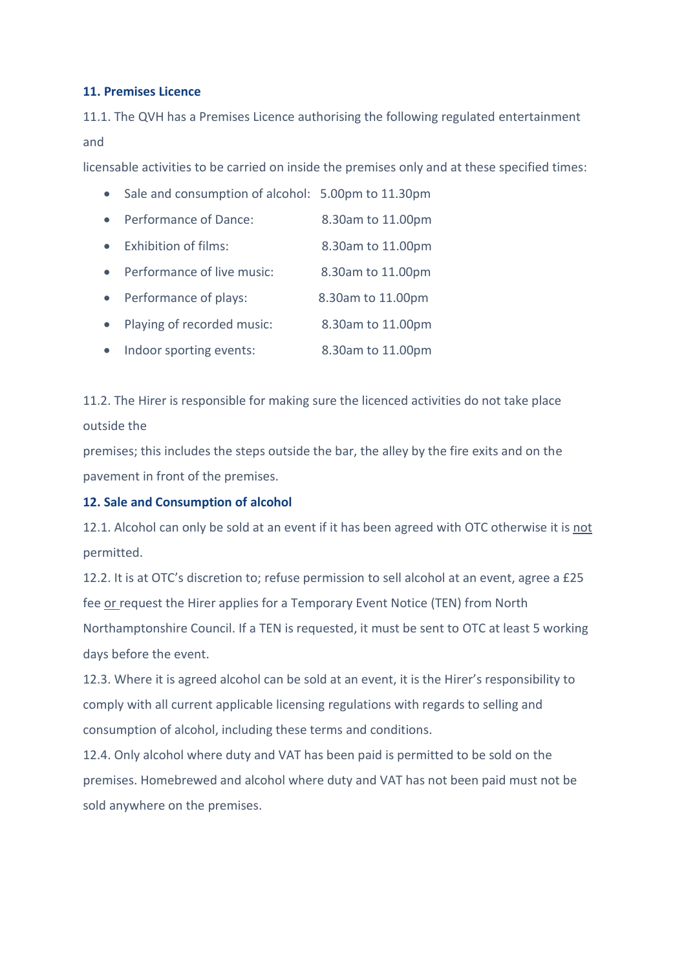# **11. Premises Licence**

11.1. The QVH has a Premises Licence authorising the following regulated entertainment and

licensable activities to be carried on inside the premises only and at these specified times:

- Sale and consumption of alcohol: 5.00pm to 11.30pm
- Performance of Dance: 8.30am to 11.00pm
- Exhibition of films: 8.30am to 11.00pm
- Performance of live music: 8.30am to 11.00pm
- Performance of plays: 8.30am to 11.00pm
- Playing of recorded music: 8.30am to 11.00pm
- Indoor sporting events: 8.30am to 11.00pm

11.2. The Hirer is responsible for making sure the licenced activities do not take place outside the

premises; this includes the steps outside the bar, the alley by the fire exits and on the pavement in front of the premises.

# **12. Sale and Consumption of alcohol**

12.1. Alcohol can only be sold at an event if it has been agreed with OTC otherwise it is not permitted.

12.2. It is at OTC's discretion to; refuse permission to sell alcohol at an event, agree a £25 fee or request the Hirer applies for a Temporary Event Notice (TEN) from North Northamptonshire Council. If a TEN is requested, it must be sent to OTC at least 5 working days before the event.

12.3. Where it is agreed alcohol can be sold at an event, it is the Hirer's responsibility to comply with all current applicable licensing regulations with regards to selling and consumption of alcohol, including these terms and conditions.

12.4. Only alcohol where duty and VAT has been paid is permitted to be sold on the premises. Homebrewed and alcohol where duty and VAT has not been paid must not be sold anywhere on the premises.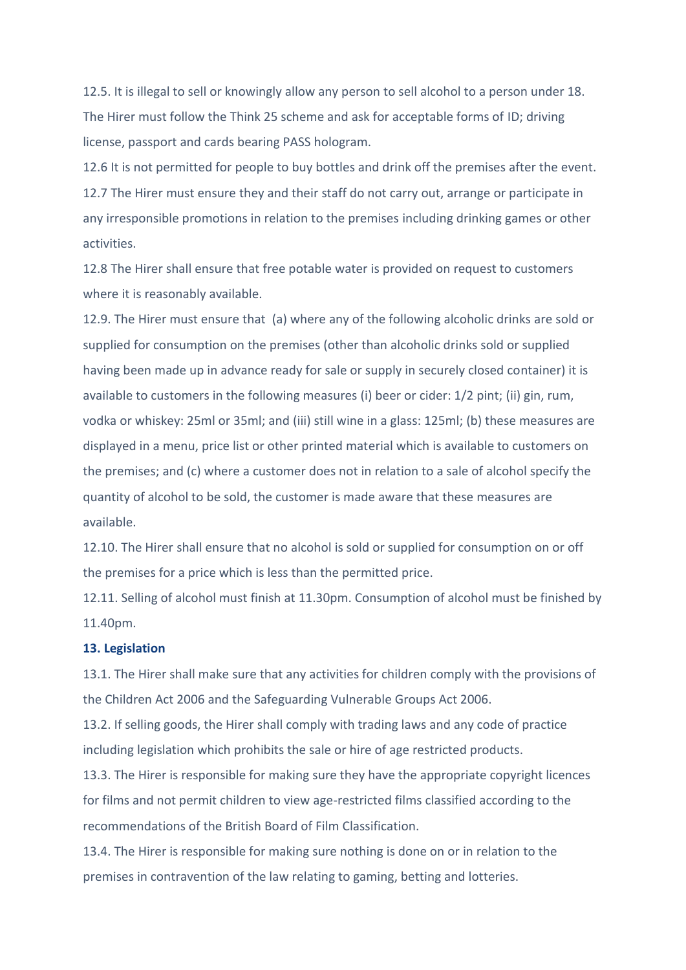12.5. It is illegal to sell or knowingly allow any person to sell alcohol to a person under 18. The Hirer must follow the Think 25 scheme and ask for acceptable forms of ID; driving license, passport and cards bearing PASS hologram.

12.6 It is not permitted for people to buy bottles and drink off the premises after the event. 12.7 The Hirer must ensure they and their staff do not carry out, arrange or participate in any irresponsible promotions in relation to the premises including drinking games or other activities.

12.8 The Hirer shall ensure that free potable water is provided on request to customers where it is reasonably available.

12.9. The Hirer must ensure that (a) where any of the following alcoholic drinks are sold or supplied for consumption on the premises (other than alcoholic drinks sold or supplied having been made up in advance ready for sale or supply in securely closed container) it is available to customers in the following measures (i) beer or cider: 1/2 pint; (ii) gin, rum, vodka or whiskey: 25ml or 35ml; and (iii) still wine in a glass: 125ml; (b) these measures are displayed in a menu, price list or other printed material which is available to customers on the premises; and (c) where a customer does not in relation to a sale of alcohol specify the quantity of alcohol to be sold, the customer is made aware that these measures are available.

12.10. The Hirer shall ensure that no alcohol is sold or supplied for consumption on or off the premises for a price which is less than the permitted price.

12.11. Selling of alcohol must finish at 11.30pm. Consumption of alcohol must be finished by 11.40pm.

#### **13. Legislation**

13.1. The Hirer shall make sure that any activities for children comply with the provisions of the Children Act 2006 and the Safeguarding Vulnerable Groups Act 2006.

13.2. If selling goods, the Hirer shall comply with trading laws and any code of practice including legislation which prohibits the sale or hire of age restricted products.

13.3. The Hirer is responsible for making sure they have the appropriate copyright licences for films and not permit children to view age-restricted films classified according to the recommendations of the British Board of Film Classification.

13.4. The Hirer is responsible for making sure nothing is done on or in relation to the premises in contravention of the law relating to gaming, betting and lotteries.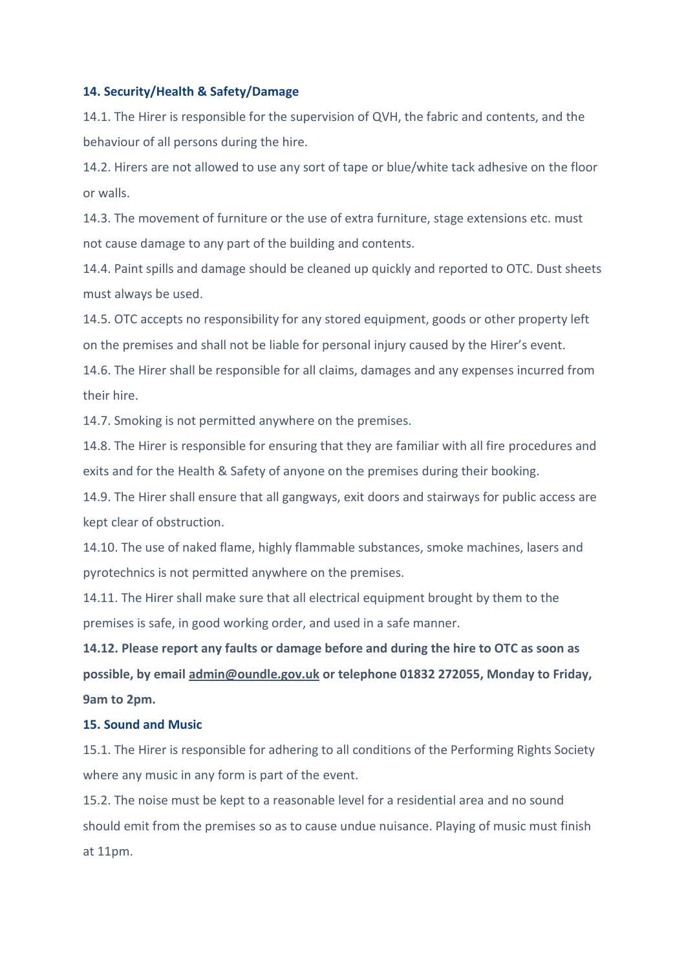#### **14. Security/Health & Safety/Damage**

14.1. The Hirer is responsible for the supervision of QVH, the fabric and contents, and the behaviour of all persons during the hire.

14.2. Hirers are not allowed to use any sort of tape or blue/white tack adhesive on the floor or walls.

14.3. The movement of furniture or the use of extra furniture, stage extensions etc. must not cause damage to any part of the building and contents.

14.4. Paint spills and damage should be cleaned up quickly and reported to OTC. Dust sheets must always be used.

14.5. OTC accepts no responsibility for any stored equipment, goods or other property left on the premises and shall not be liable for personal injury caused by the Hirer's event.

14.6. The Hirer shall be responsible for all claims, damages and any expenses incurred from their hire.

14.7. Smoking is not permitted anywhere on the premises.

14.8. The Hirer is responsible for ensuring that they are familiar with all fire procedures and exits and for the Health & Safety of anyone on the premises during their booking.

14.9. The Hirer shall ensure that all gangways, exit doors and stairways for public access are kept clear of obstruction.

14.10. The use of naked flame, highly flammable substances, smoke machines, lasers and pyrotechnics is not permitted anywhere on the premises.

14.11. The Hirer shall make sure that all electrical equipment brought by them to the premises is safe, in good working order, and used in a safe manner.

**14.12. Please report any faults or damage before and during the hire to OTC as soon as possible, by email [admin@oundle.gov.uk](mailto:admin@oundle.gov.uk) or telephone 01832 272055, Monday to Friday, 9am to 2pm.** 

#### **15. Sound and Music**

15.1. The Hirer is responsible for adhering to all conditions of the Performing Rights Society where any music in any form is part of the event.

15.2. The noise must be kept to a reasonable level for a residential area and no sound should emit from the premises so as to cause undue nuisance. Playing of music must finish at 11pm.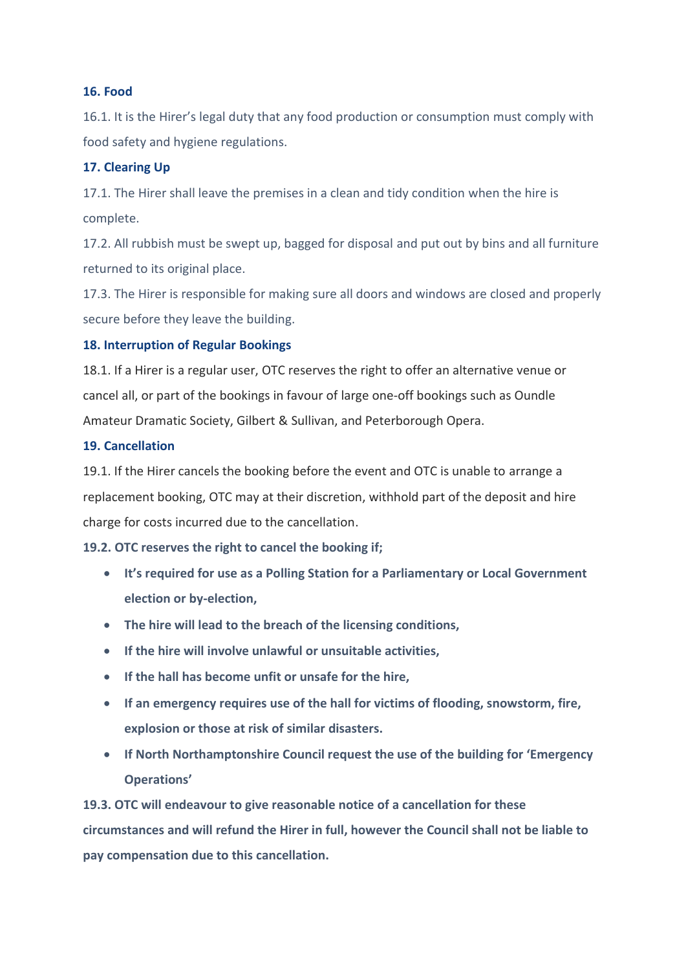# **16. Food**

16.1. It is the Hirer's legal duty that any food production or consumption must comply with food safety and hygiene regulations.

# **17. Clearing Up**

17.1. The Hirer shall leave the premises in a clean and tidy condition when the hire is complete.

17.2. All rubbish must be swept up, bagged for disposal and put out by bins and all furniture returned to its original place.

17.3. The Hirer is responsible for making sure all doors and windows are closed and properly secure before they leave the building.

# **18. Interruption of Regular Bookings**

18.1. If a Hirer is a regular user, OTC reserves the right to offer an alternative venue or cancel all, or part of the bookings in favour of large one-off bookings such as Oundle Amateur Dramatic Society, Gilbert & Sullivan, and Peterborough Opera.

# **19. Cancellation**

19.1. If the Hirer cancels the booking before the event and OTC is unable to arrange a replacement booking, OTC may at their discretion, withhold part of the deposit and hire charge for costs incurred due to the cancellation.

# **19.2. OTC reserves the right to cancel the booking if;**

- **It's required for use as a Polling Station for a Parliamentary or Local Government election or by-election,**
- **The hire will lead to the breach of the licensing conditions,**
- **If the hire will involve unlawful or unsuitable activities,**
- **If the hall has become unfit or unsafe for the hire,**
- **If an emergency requires use of the hall for victims of flooding, snowstorm, fire, explosion or those at risk of similar disasters.**
- **If North Northamptonshire Council request the use of the building for 'Emergency Operations'**

**19.3. OTC will endeavour to give reasonable notice of a cancellation for these circumstances and will refund the Hirer in full, however the Council shall not be liable to pay compensation due to this cancellation.**